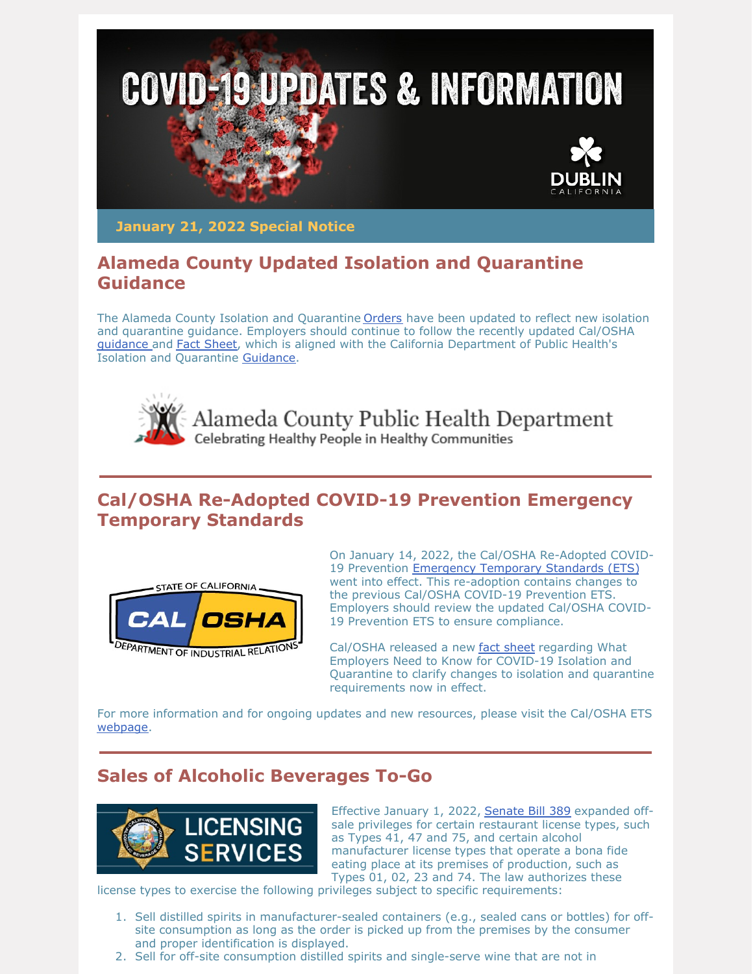

**January 21, 2022 Special Notice**

## **Alameda County Updated Isolation and Quarantine Guidance**

The Alameda County Isolation and Quarantine **[Orders](https://r20.rs6.net/tn.jsp?f=001JI1oRSof0icpGaiiIRUflhKyI6l0AtdXPkCSiww1YP69IcaxXfEJHDCwwipYA5hYNAj9qMJw1FQz7KxqVAC8T8STt6TGI2uH1i2H6MiO5Dx5YdeP7ihGRG4OJtBsFJqeGe68_OLmTkQEth6MmlCnL12R4aY4zvn0Q1h_hPuD1_4yiD4P7GxldQ==&c=aSwAWk5u-_IgsWPOyZMJoAT2CB-VBVw6cAa4Bnjo9XSaJ5u5ESRMnw==&ch=bzg_lqKk2vFEiQSKxuHOK9Ua75pKGLlpTJJ73-lH-IcqCx_4Vsp41g==)** have been updated to reflect new isolation and quarantine guidance. Employers should continue to follow the recently updated Cal/OSHA [guidance](https://r20.rs6.net/tn.jsp?f=001JI1oRSof0icpGaiiIRUflhKyI6l0AtdXPkCSiww1YP69IcaxXfEJHGjtv9o2I4S5BYkhcwCgsBy1bfGuqUqFsxmvpfGc0VDU_leLJPwPGyQ4iNvAlUPRAvv1VEso5YiExCKXAzh-OrkdoialfTa0PNT-IpGkDvHciiizQ-9twdCW4qFRlwr1knN84V8x2FxDDLfbqvhaXu4=&c=aSwAWk5u-_IgsWPOyZMJoAT2CB-VBVw6cAa4Bnjo9XSaJ5u5ESRMnw==&ch=bzg_lqKk2vFEiQSKxuHOK9Ua75pKGLlpTJJ73-lH-IcqCx_4Vsp41g==) and Fact [Sheet](https://r20.rs6.net/tn.jsp?f=001JI1oRSof0icpGaiiIRUflhKyI6l0AtdXPkCSiww1YP69IcaxXfEJHDCwwipYA5hYWIJCiF1SxSwrxjSinWyEjkk7rBuS7YyO3LovrRkL95XKZP454BW-6JzB_QkQBPOktA3u0eyP3GaqRrKiQiusIxHeODG02b8ec9TfzCjKavhiVnKYPVnIHytUuwVyVGFYt4Yp8P2dxXf2uJ2MKpPMKEde3QWlbZkK&c=aSwAWk5u-_IgsWPOyZMJoAT2CB-VBVw6cAa4Bnjo9XSaJ5u5ESRMnw==&ch=bzg_lqKk2vFEiQSKxuHOK9Ua75pKGLlpTJJ73-lH-IcqCx_4Vsp41g==), which is aligned with the California Department of Public Health's Isolation and Quarantine [Guidance](https://r20.rs6.net/tn.jsp?f=001JI1oRSof0icpGaiiIRUflhKyI6l0AtdXPkCSiww1YP69IcaxXfEJHGjtv9o2I4S5ZDbHAaNUqm8-sPKGyw_h11WMo2ypUYRkS3ZjR-znlqqvwZe_LE1HYPWH1YV88vBaeofpNhGgU2wn05-7Ef3ocp4BzS7h2xvLWr6MitbBSOEuXv7abBW3LVxdxt5cKybXmA7m_58o3uiACiweinN1FEr8xfjBKu5GBxIl7uTB9h89y1NeR2uRptN3pb7jmla_YMxLv_EAy5Kcm2I3hUHdMERcpZtW0Yw4ml5de7LoyrM=&c=aSwAWk5u-_IgsWPOyZMJoAT2CB-VBVw6cAa4Bnjo9XSaJ5u5ESRMnw==&ch=bzg_lqKk2vFEiQSKxuHOK9Ua75pKGLlpTJJ73-lH-IcqCx_4Vsp41g==).



# **Cal/OSHA Re-Adopted COVID-19 Prevention Emergency Temporary Standards**



On January 14, 2022, the Cal/OSHA Re-Adopted COVID-19 Prevention **[Emergency](https://www.dir.ca.gov/dosh/coronavirus/ETS.html) Temporary Standards (ETS)** went into effect. This re-adoption contains changes to the previous Cal/OSHA COVID-19 Prevention ETS. Employers should review the updated Cal/OSHA COVID-19 Prevention ETS to ensure compliance.

Cal/OSHA released a new fact [sheet](https://www.dir.ca.gov/dosh/dosh_publications/Isolation-and-Quarantine-fs.pdf) regarding What Employers Need to Know for COVID-19 Isolation and Quarantine to clarify changes to isolation and quarantine requirements now in effect.

For more information and for ongoing updates and new resources, please visit the Cal/OSHA ETS [webpage](https://www.dir.ca.gov/dosh/coronavirus/ETS.html).

### **Sales of Alcoholic Beverages To-Go**



Effective January 1, 2022, [Senate](https://leginfo.legislature.ca.gov/faces/billNavClient.xhtml?bill_id=202120220SB389) Bill 389 expanded offsale privileges for certain restaurant license types, such as Types 41, 47 and 75, and certain alcohol manufacturer license types that operate a bona fide eating place at its premises of production, such as Types 01, 02, 23 and 74. The law authorizes these

license types to exercise the following privileges subject to specific requirements:

- 1. Sell distilled spirits in manufacturer-sealed containers (e.g., sealed cans or bottles) for offsite consumption as long as the order is picked up from the premises by the consumer and proper identification is displayed.
- 2. Sell for off-site consumption distilled spirits and single-serve wine that are not in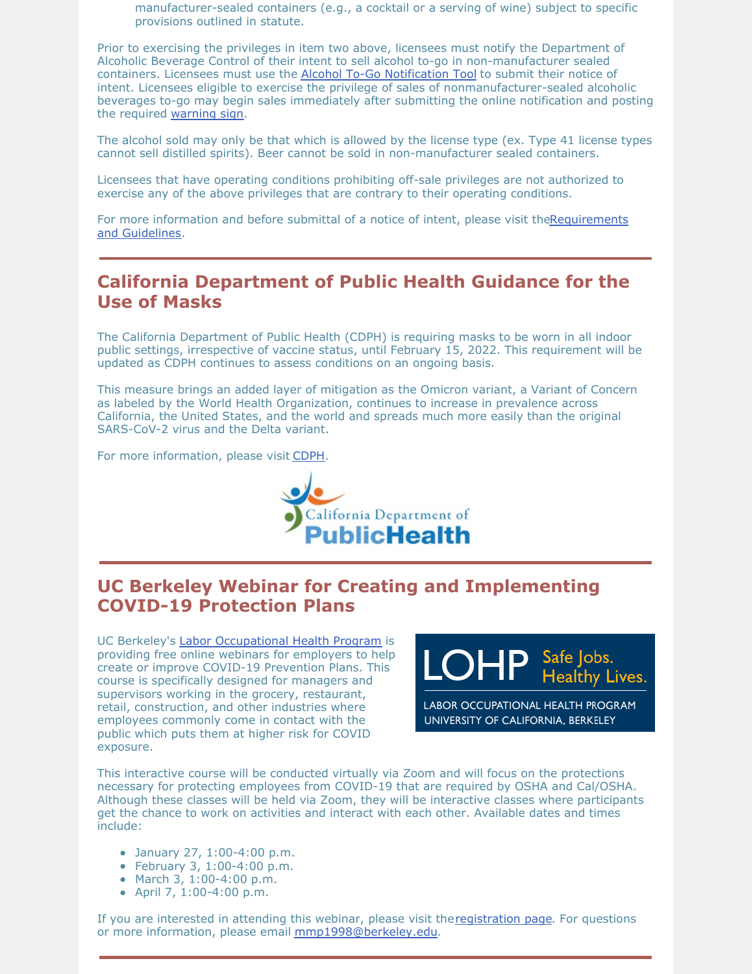manufacturer-sealed containers (e.g., a cocktail or a serving of wine) subject to specific provisions outlined in statute.

Prior to exercising the privileges in item two above, licensees must notify the Department of Alcoholic Beverage Control of their intent to sell alcohol to-go in non-manufacturer sealed containers. Licensees must use the Alcohol To-Go [Notification](https://www.abc.ca.gov/licensing/sales-of-alcoholic-beverages-to-go/alcohol-to-go-notification/) Tool to submit their notice of intent. Licensees eligible to exercise the privilege of sales of nonmanufacturer-sealed alcoholic beverages to-go may begin sales immediately after submitting the online notification and posting the required [warning](https://www.abc.ca.gov/wp-content/uploads/forms/ABC-389-N.pdf) sign.

The alcohol sold may only be that which is allowed by the license type (ex. Type 41 license types cannot sell distilled spirits). Beer cannot be sold in non-manufacturer sealed containers.

Licensees that have operating conditions prohibiting off-sale privileges are not authorized to exercise any of the above privileges that are contrary to their operating conditions.

For more information and before submittal of a notice of intent, please visit [theRequirements](https://www.abc.ca.gov/licensing/sales-of-alcoholic-beverages-to-go/requirements-and-guidelines/) and Guidelines.

#### **California Department of Public Health Guidance for the Use of Masks**

The California Department of Public Health (CDPH) is requiring masks to be worn in all indoor public settings, irrespective of vaccine status, until February 15, 2022. This requirement will be updated as CDPH continues to assess conditions on an ongoing basis.

This measure brings an added layer of mitigation as the Omicron variant, a Variant of Concern as labeled by the World Health Organization, continues to increase in prevalence across California, the United States, and the world and spreads much more easily than the original SARS-CoV-2 virus and the Delta variant.

For more information, please visit [CDPH](https://www.cdph.ca.gov/Programs/CID/DCDC/Pages/COVID-19/guidance-for-face-coverings.aspx).



### **UC Berkeley Webinar for Creating and Implementing COVID-19 Protection Plans**

UC Berkeley's Labor [Occupational](https://lohp.berkeley.edu/) Health Program is providing free online webinars for employers to help create or improve COVID-19 Prevention Plans. This course is specifically designed for managers and supervisors working in the grocery, restaurant, retail, construction, and other industries where employees commonly come in contact with the public which puts them at higher risk for COVID exposure.



LABOR OCCUPATIONAL HEALTH PROGRAM UNIVERSITY OF CALIFORNIA, BERKELEY

This interactive course will be conducted virtually via Zoom and will focus on the protections necessary for protecting employees from COVID-19 that are required by OSHA and Cal/OSHA. Although these classes will be held via Zoom, they will be interactive classes where participants get the chance to work on activities and interact with each other. Available dates and times include:

- January 27, 1:00-4:00 p.m.
- February 3, 1:00-4:00 p.m.
- March 3, 1:00-4:00 p.m.
- April 7, 1:00-4:00 p.m.

If you are interested in attending this webinar, please visit the[registration](https://lohp.berkeley.edu/developing-and-implementing-an-effective-covid-19-infectious-disease-prevention-program-for-your-business/) page. For questions or more information, please email [mmp1998@berkeley.edu](mailto:mmp1998@berkeley.edu).